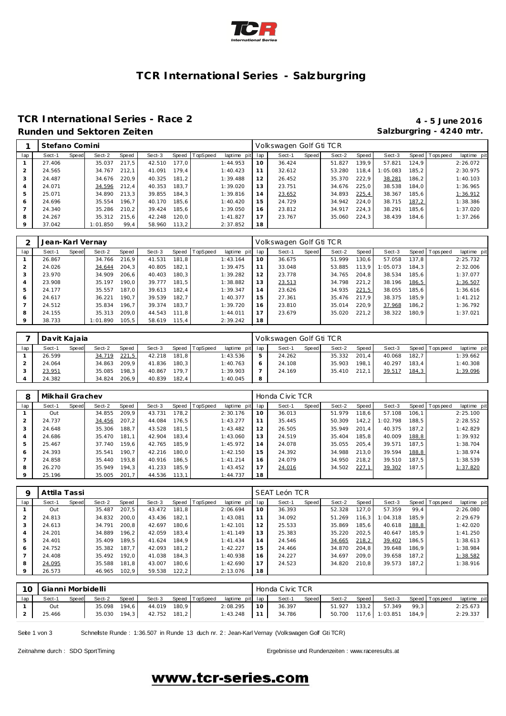

### **TCR International Series - Salzburgring**

### **TCR International Series - Race 2 4 - 5 June 2016** Runden und Sektoren Zeiten **Salzburgring - 4240 mtr.** Salzburgring - 4240 mtr.

|         | Stefano Comini |       |          |       |        |       |          |                 |    | Volkswagen Golf Gti TCR |       |        |       |         |       |                |             |
|---------|----------------|-------|----------|-------|--------|-------|----------|-----------------|----|-------------------------|-------|--------|-------|---------|-------|----------------|-------------|
| lap     | Sect-1         | Speed | Sect-2   | Speed | Sect-3 | Speed | TopSpeed | laptime pit lap |    | Sect-1                  | Speed | Sect-2 | Speed | Sect-3  |       | Speed Topspeed | laptime pit |
|         | 27.406         |       | 35.037   | 217.5 | 42.510 | 177.0 |          | 1:44.953        | 10 | 36.424                  |       | 51.827 | 139.9 | 57.821  | 124.9 |                | 2:26.072    |
|         | 24.565         |       | 34.767   | 212.1 | 41.091 | 179.4 |          | 1:40.423        | 11 | 32.612                  |       | 53.280 | 118.4 | :05.083 | 185.2 |                | 2:30.975    |
|         | 24.487         |       | 34.676   | 220.9 | 40.325 | 181.2 |          | 1:39.488        | 12 | 26.452                  |       | 35.370 | 222.9 | 38.281  | 186.2 |                | 1:40.103    |
|         | 24.071         |       | 34.596   | 212.4 | 40.353 | 183.7 |          | 1:39.020        | 13 | 23.751                  |       | 34.676 | 225.0 | 38.538  | 184.0 |                | 1:36.965    |
|         | 25.071         |       | 34.890   | 213.3 | 39.855 | 184.3 |          | 1:39.816        | 14 | 23.652                  |       | 34.893 | 225,4 | 38.367  | 185.6 |                | 1:36.912    |
| 6       | 24.696         |       | 35.554   | 196.7 | 40.170 | 185.6 |          | 1:40.420        | 15 | 24.729                  |       | 34.942 | 224.0 | 38.715  | 187,2 |                | 1:38.386    |
|         | 24.340         |       | 35.286   | 210.2 | 39.424 | 185.6 |          | 1:39.050        | 16 | 23.812                  |       | 34.917 | 224.3 | 38.291  | 185,6 |                | 1:37.020    |
| 8       | 24.267         |       | 35.312   | 215.6 | 42.248 | 120.0 |          | 1:41.827        | 17 | 23.767                  |       | 35.060 | 224.3 | 38.439  | 184.6 |                | 1:37.266    |
| $\circ$ | 37.042         |       | 1:01.850 | 99,4  | 58.960 | 113.2 |          | 2:37.852        | 18 |                         |       |        |       |         |       |                |             |

|     | Jean-Karl Vernay |       |          |       |        |       |                |                 |          | Volkswagen Golf Gti TCR |       |        |         |          |       |                |             |
|-----|------------------|-------|----------|-------|--------|-------|----------------|-----------------|----------|-------------------------|-------|--------|---------|----------|-------|----------------|-------------|
| lap | Sect-1           | Speed | Sect-2   | Speed | Sect-3 |       | Speed TopSpeed | laptime pit lap |          | Sect-1                  | Speed | Sect-2 | Speed   | Sect-3   |       | Speed Topspeed | laptime pit |
|     | 26.867           |       | 34.766   | 216.9 | 41.531 | 181.8 |                | 1:43.164        | $10^{-}$ | 36.675                  |       | 51.999 | 130.6 l | 57.058   | 137.8 |                | 2:25.732    |
|     | 24.026           |       | 34.644   | 204.3 | 40.805 | 182.1 |                | 1:39.475        | 11       | 33.048                  |       | 53.885 | 113.9   | 1:05.073 | 184.3 |                | 2:32.006    |
|     | 23.970           |       | 34.909   | 206.6 | 40.403 | 180.3 |                | 1:39.282        | 12       | 23.778                  |       | 34.765 | 204.8   | 38.534   | 185.6 |                | 1:37.077    |
|     | 23.908           |       | 35.197   | 190.0 | 39.777 | 181,5 |                | 1:38.882        | 13       | 23.513                  |       | 34.798 | 221.2   | 38.196   | 186,5 |                | 1:36.507    |
|     | 24.177           |       | 35.557   | 187.0 | 39.613 | 182.4 |                | 1:39.347        | 14       | 23.626                  |       | 34.935 | 221,5   | 38.055   | 185.6 |                | 1:36.616    |
| 6   | 24.617           |       | 36.221   | 190.7 | 39.539 | 182.7 |                | 1:40.377        | 15       | 27.361                  |       | 35.476 | 217.9   | 38.375   | 185.9 |                | 1:41.212    |
|     | 24.512           |       | 35.834   | 196.7 | 39.374 | 183.7 |                | 1:39.720        | 16       | 23.810                  |       | 35.014 | 220.9   | 37.968   | 186,2 |                | 1:36.792    |
| 8   | 24.155           |       | 35.313   | 209.0 | 44.543 | 111.8 |                | 1:44.011        | 17       | 23.679                  |       | 35.020 | 221.2   | 38.322   | 180.9 |                | 1:37.021    |
|     | 38.733           |       | 1:01.890 | 105.5 | 58.619 | 115.4 |                | 2:39.242        | 18       |                         |       |        |         |          |       |                |             |

|     | Davit Kajaia |       |        |       |        |       |                |                 |   | Volkswagen Golf Gti TCR |       |        |       |        |       |                 |             |
|-----|--------------|-------|--------|-------|--------|-------|----------------|-----------------|---|-------------------------|-------|--------|-------|--------|-------|-----------------|-------------|
| lap | Sect-1       | Speed | Sect-2 | Speed | Sect-3 |       | Speed TopSpeed | laptime pit lap |   | Sect-1                  | Speed | Sect-2 | Speed | Sect-3 |       | Speed Tops peed | laptime pit |
|     | 26.599       |       | 34.719 | 221,5 | 42.218 | 181.8 |                | 1:43.536        |   | 24.262                  |       | 35.332 | 201.4 | 40.068 | 182.7 |                 | 1:39.662    |
|     | 24.064       |       | 34.863 | 209.9 | 41.836 | 180.3 |                | 1:40.763        |   | 24.108                  |       | 35.903 | 198.1 | 40.297 | 183.4 |                 | 1:40.308    |
|     | 23.951       |       | 35.085 | 198.3 | 40.867 | 179.7 |                | 1:39.903        |   | 24.169                  |       | 35.410 | 212.1 | 39.517 | 184,3 |                 | 1:39.096    |
|     | 24.382       |       | 34.824 | 206.9 | 40.839 | 182.4 |                | 1:40.045        | 8 |                         |       |        |       |        |       |                 |             |

| 8       | Mikhail Grachev |       |        |       |        |       |                |             |     | Honda Civic TCR |       |        |         |         |       |                |             |
|---------|-----------------|-------|--------|-------|--------|-------|----------------|-------------|-----|-----------------|-------|--------|---------|---------|-------|----------------|-------------|
| lap     | Sect-1          | Speed | Sect-2 | Speed | Sect-3 |       | Speed TopSpeed | laptime pit | lap | Sect-1          | Speed | Sect-2 | Speed   | Sect-3  |       | Speed Topspeed | laptime pit |
|         | Out             |       | 34.855 | 209.9 | 43.731 | 178.2 |                | 2:30.176    | 10  | 36.013          |       | 51.979 | 118.6 I | 57.108  | 106.1 |                | 2:25.100    |
| 2       | 24.737          |       | 34.456 | 207.2 | 44.084 | 176.5 |                | 1:43.277    | 11  | 35.445          |       | 50.309 | 142.2   | :02.798 | 188.5 |                | 2:28.552    |
| 3       | 24.648          |       | 35.306 | 188.7 | 43.528 | 181.5 |                | 1:43.482    | 12  | 26.505          |       | 35.949 | 201.4   | 40.375  | 187.2 |                | 1:42.829    |
| 4       | 24.686          |       | 35.470 | 181.1 | 42.904 | 183.4 |                | 1:43.060    | 13  | 24.519          |       | 35.404 | 185.8   | 40.009  | 188,8 |                | 1:39.932    |
| 5       | 25.467          |       | 37.740 | 159.6 | 42.765 | 185.9 |                | 1:45.972    | 14  | 24.078          |       | 35.055 | 205.4   | 39.571  | 187.5 |                | 1:38.704    |
| 6       | 24.393          |       | 35.541 | 190.7 | 42.216 | 180.0 |                | 1:42.150    | 15  | 24.392          |       | 34.988 | 213.0   | 39.594  | 188,8 |                | 1:38.974    |
|         | 24.858          |       | 35.440 | 193.8 | 40.916 | 186.5 |                | 1:41.214    | 16  | 24.079          |       | 34.950 | 218.2   | 39.510  | 187.5 |                | 1:38.539    |
| 8       | 26.270          |       | 35.949 | 194.3 | 41.233 | 185.9 |                | 1:43.452    | 17  | 24.016          |       | 34.502 | 227.1   | 39.302  | 187.5 |                | 1:37.820    |
| $\circ$ | 25.196          |       | 35.005 | 201.7 | 44.536 | 113.1 |                | 1:44.737    | 18  |                 |       |        |         |         |       |                |             |

| O   | Attila Tassi |       |        |       |        |       |          |                 |    | SEAT León TCR |       |        |        |          |       |                 |             |
|-----|--------------|-------|--------|-------|--------|-------|----------|-----------------|----|---------------|-------|--------|--------|----------|-------|-----------------|-------------|
| lap | Sect-1       | Speed | Sect-2 | Speed | Sect-3 | Speed | TopSpeed | laptime pit lap |    | Sect-1        | Speed | Sect-2 | Speed  | Sect-3   |       | Speed Tops peed | laptime pit |
|     | Out          |       | 35.487 | 207,5 | 43.472 | 181.8 |          | 2:06.694        | 10 | 36.393        |       | 52.328 | 127.01 | 57.359   | 99.4  |                 | 2:26.080    |
|     | 24.813       |       | 34.832 | 200.0 | 43.436 | 182.1 |          | 1:43.081        | 11 | 34.092        |       | 51.269 | 116.3  | 1:04.318 | 185.9 |                 | 2:29.679    |
| 3   | 24.613       |       | 34.791 | 200.8 | 42.697 | 180.6 |          | 1:42.101        | 12 | 25.533        |       | 35.869 | 185.6  | 40.618   | 188,8 |                 | 1:42.020    |
| 4   | 24.201       |       | 34.889 | 196.2 | 42.059 | 183.4 |          | 1:41.149        | 13 | 25.383        |       | 35.220 | 202.5  | 40.647   | 185.9 |                 | 1:41.250    |
| 5   | 24.401       |       | 35.409 | 189.5 | 41.624 | 184.9 |          | 1:41.434        | 14 | 24.546        |       | 34.665 | 218,2  | 39.402   | 186.5 |                 | 1:38.613    |
| 6   | 24.752       |       | 35.382 | 187.7 | 42.093 | 181.2 |          | 1:42.227        | 15 | 24.466        |       | 34.870 | 204.8  | 39.648   | 186.9 |                 | 1:38.984    |
|     | 24.408       |       | 35.492 | 192.0 | 41.038 | 184.3 |          | 1:40.938        | 16 | 24.227        |       | 34.697 | 209.0  | 39.658   | 187.2 |                 | 1:38.582    |
| 8   | 24.095       |       | 35.588 | 181.8 | 43.007 | 180.6 |          | 1:42.690        | 17 | 24.523        |       | 34.820 | 210.8  | 39.573   | 187.2 |                 | 1:38.916    |
| 9   | 26.573       |       | 46.965 | 102.9 | 59.538 | 122,2 |          | 2:13.076        | 18 |               |       |        |        |          |       |                 |             |

| 10  | Gianni Morbidelli |       |              |       |              |                |                 |    | Honda Civic TCR |       |        |       |                       |       |                   |             |
|-----|-------------------|-------|--------------|-------|--------------|----------------|-----------------|----|-----------------|-------|--------|-------|-----------------------|-------|-------------------|-------------|
| lap | Sect-1            | Speed | Sect-2       | Speed | Sect-3       | Speed TopSpeed | laptime pit lap |    | Sect-1          | Speed | Sect-2 | Speed | Sect-3                |       | Speed   Tops peed | laptime pit |
|     | Out               |       | 35.098 194.6 |       | 44.019 180.9 |                | 2:08.295        | 10 | 36.397          |       | 51.927 | 133,2 | 57.349                | 99.3  |                   | 2:25.673    |
|     | 25.466            |       | 35.030 194.3 |       | 42.752 181,2 |                | $1:43.248$ 11   |    | 34.786          |       |        |       | 50.700 117,6 1:03.851 | 184.9 |                   | 2:29.337    |

Seite 1 von 3 Schnelste Runde : 1:36.507 in Runde 13 duch nr. 2 : Jean-Karl Vernay (Volkswagen Golf Gti TCR)

Zeitnahme durch : SDO SportTiming entity of the state of the state of the Ergebnisse und Rundenzeiten : [www.raceresults.a](www.raceresults.at)t

# www.tcr-series.com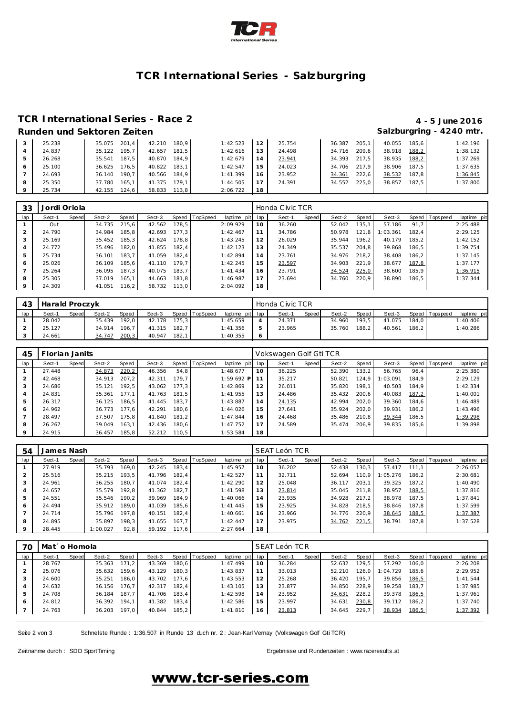

### **TCR International Series - Salzburgring**

### **TCR International Series - Race 2 4 - 5 June 2016 Runden und Sektoren Zeiten Salzburgring - 4240 mtr.**

| 25.238 | 201.4<br>35.075 | 42.210<br>180.9 | 1:42.523 | 12 <sub>1</sub> | 25.754 | 205.1<br>36.387 | 40.055<br>185.6 | 1:42.196 |
|--------|-----------------|-----------------|----------|-----------------|--------|-----------------|-----------------|----------|
| 24.837 | 195.7<br>35.122 | 181.5<br>42.657 | 1:42.616 | 13              | 24.498 | 209.6<br>34.716 | 38.918<br>188,2 | 1:38.132 |
| 26.268 | 187.5<br>35.541 | 184.9<br>40.870 | 1:42.679 | 14              | 23.941 | 34.393<br>217.5 | 38.935<br>188,2 | 1:37.269 |
| 25.100 | 176.5<br>36.625 | 183.1<br>40.822 | 1:42.547 | 15              | 24.023 | 34.706<br>217.9 | 38.906<br>187.5 | 1:37.635 |
| 24.693 | 190.7<br>36.140 | 184.9<br>40.566 | 1:41.399 | 16              | 23.952 | 222.6<br>34.361 | 38.532<br>187.8 | 1:36.845 |
| 25.350 | 165.1<br>37.780 | 179.1<br>41.375 | 1:44.505 |                 | 24.391 | 225,0<br>34.552 | 38.857<br>187.5 | 1:37.800 |
| 25.734 | 124.6<br>42.155 | 113.8<br>58.833 | 2:06.722 | 18              |        |                 |                 |          |

| 33      | Jordi Oriola |       |        |       |        |       |          |             |     | Honda Civic TCR |       |        |       |          |       |                |             |
|---------|--------------|-------|--------|-------|--------|-------|----------|-------------|-----|-----------------|-------|--------|-------|----------|-------|----------------|-------------|
| lap     | Sect-1       | Speed | Sect-2 | Speed | Sect-3 | Speed | TopSpeed | laptime pit | lap | Sect-1          | Speed | Sect-2 | Speed | Sect-3   |       | Speed Topspeed | laptime pit |
|         | Out          |       | 34.735 | 215.6 | 42.562 | 178.5 |          | 2:09.929    | 10  | 36.260          |       | 52.042 | 135.1 | 57.186   | 91.7  |                | 2:25.488    |
|         | 24.790       |       | 34.984 | 185.8 | 42.693 | 177.3 |          | 1:42.467    | 11  | 34.786          |       | 50.978 | 121.8 | : 03.361 | 182.4 |                | 2:29.125    |
| 3       | 25.169       |       | 35.452 | 185,3 | 42.624 | 178.8 |          | 1:43.245    | 12  | 26.029          |       | 35.944 | 196.2 | 40.179   | 185.2 |                | 1:42.152    |
| 4       | 24.772       |       | 35.496 | 182.0 | 41.855 | 182.4 |          | 1:42.123    | 13  | 24.349          |       | 35.537 | 204.8 | 39.868   | 186.5 |                | 1:39.754    |
| 5       | 25.734       |       | 36.101 | 183.7 | 41.059 | 182.4 |          | 1:42.894    | 14  | 23.761          |       | 34.976 | 218.2 | 38.408   | 186.2 |                | 1:37.145    |
| 6       | 25.026       |       | 36.109 | 185.6 | 41.110 | 179.7 |          | 1:42.245    | 15  | 23.597          |       | 34.903 | 221.9 | 38.677   | 187,8 |                | 1:37.177    |
|         | 25.264       |       | 36.095 | 187.3 | 40.075 | 183.7 |          | 1: 41.434   | 16  | 23.791          |       | 34.524 | 225,0 | 38.600   | 185.9 |                | 1:36.915    |
| 8       | 25.305       |       | 37.019 | 165.1 | 44.663 | 181.8 |          | 1:46.987    | 17  | 23.694          |       | 34.760 | 220.9 | 38.890   | 186.5 |                | 1:37.344    |
| $\circ$ | 24.309       |       | 41.051 | 116,2 | 58.732 | 113.0 |          | 2:04.092    | 18  |                 |       |        |       |          |       |                |             |

| 43  | Harald Proczyk |       |        |       |        |       |                |                 |         | Honda Civic TCR |              |        |       |        |       |                   |             |
|-----|----------------|-------|--------|-------|--------|-------|----------------|-----------------|---------|-----------------|--------------|--------|-------|--------|-------|-------------------|-------------|
| lap | Sect-1         | Speed | Sect-2 | Speed | Sect-3 |       | Speed TopSpeed | laptime pit lap |         | Sect-1          | <b>Speed</b> | Sect-2 | Speed | Sect-3 |       | Speed   Tops peed | laptime pit |
|     | 28.042         |       | 35.439 | 192.0 | 42.178 | 175.3 |                | 1:45.659        |         | 24.371          |              | 34.960 | 193.5 | 41.075 | 184.0 |                   | 1:40.406    |
|     | 25.127         |       | 34.914 | 196.7 | 41.315 | 182.7 |                | 1: 41.356       | ь       | 23.965          |              | 35.760 | 188.2 | 40.561 | 186,2 |                   | 1:40.286    |
|     | 24.661         |       | 34.747 | 200,3 | 40.947 | 182.1 |                | 1:40.355        | $\circ$ |                 |              |        |       |        |       |                   |             |

| 45             | Florian Janits |       |        |       |        |       |                  |                 |    | Vokswagen Golf Gti TCR |       |        |       |          |       |                |             |
|----------------|----------------|-------|--------|-------|--------|-------|------------------|-----------------|----|------------------------|-------|--------|-------|----------|-------|----------------|-------------|
| lap            | Sect-1         | Speed | Sect-2 | Speed | Sect-3 |       | Speed   TopSpeed | laptime pit lap |    | Sect-1                 | Speed | Sect-2 | Speed | Sect-3   |       | Speed Topspeed | laptime pit |
|                | 27.448         |       | 34.873 | 220,2 | 46.356 | 54,8  |                  | 1:48.677        | 10 | 36.225                 |       | 52.390 | 133.2 | 56.765   | 96.4  |                | 2:25.380    |
| $\overline{2}$ | 42.468         |       | 34.913 | 207.2 | 42.311 | 179.7 |                  | $1:59.692$ P    | 11 | 35.217                 |       | 50.821 | 124.9 | : 03.091 | 184.9 |                | 2:29.129    |
| 3              | 24.686         |       | 35.121 | 192.5 | 43.062 | 177.3 |                  | 1:42.869        | 12 | 26.011                 |       | 35.820 | 198.1 | 40.503   | 184.9 |                | 1:42.334    |
| $\overline{4}$ | 24.831         |       | 35.361 | 177.1 | 41.763 | 181.5 |                  | 1:41.955        | 13 | 24.486                 |       | 35.432 | 200.6 | 40.083   | 187,2 |                | 1:40.001    |
| 5              | 26.317         |       | 36.125 | 186.5 | 41.445 | 183.7 |                  | 1:43.887        | 14 | 24.135                 |       | 42.994 | 202.0 | 39.360   | 184.6 |                | 1:46.489    |
| 6              | 24.962         |       | 36.773 | 177.6 | 42.291 | 180.6 |                  | 1:44.026        | 15 | 27.641                 |       | 35.924 | 202.0 | 39.931   | 186.2 |                | 1:43.496    |
|                | 28.497         |       | 37.507 | 175.8 | 41.840 | 181.2 |                  | 1:47.844        | 16 | 24.468                 |       | 35.486 | 210.8 | 39.344   | 186.5 |                | 1:39.298    |
| 8              | 26.267         |       | 39.049 | 163.1 | 42.436 | 180.6 |                  | 1:47.752        | 17 | 24.589                 |       | 35.474 | 206.9 | 39.835   | 185.6 |                | 1:39.898    |
| $\circ$        | 24.915         |       | 36.457 | 185.8 | 52.212 | 110.5 |                  | 1:53.584        | 18 |                        |       |        |       |          |       |                |             |

| 54             | James Nash |       |          |       |        |       |                |             |     | SEAT León TCR |       |        |       |          |       |                 |             |
|----------------|------------|-------|----------|-------|--------|-------|----------------|-------------|-----|---------------|-------|--------|-------|----------|-------|-----------------|-------------|
| lap            | Sect-1     | Speed | Sect-2   | Speed | Sect-3 |       | Speed TopSpeed | laptime pit | lap | Sect-1        | Speed | Sect-2 | Speed | Sect-3   |       | Speed Tops peed | laptime pit |
|                | 27.919     |       | 35.793   | 169.0 | 42.245 | 183.4 |                | 1:45.957    | 10  | 36.202        |       | 52.438 | 130.3 | 57.417   | 111.1 |                 | 2:26.057    |
| $\overline{2}$ | 25.516     |       | 35.215   | 193.5 | 41.796 | 182.4 |                | 1:42.527    | 11  | 32.711        |       | 52.694 | 110.9 | 1:05.276 | 186.2 |                 | 2:30.681    |
| 3              | 24.961     |       | 36.255   | 180.7 | 41.074 | 182.4 |                | 1:42.290    | 12  | 25.048        |       | 36.117 | 203.1 | 39.325   | 187.2 |                 | 1:40.490    |
| 4              | 24.657     |       | 35.579   | 192.8 | 41.362 | 182.7 |                | 1:41.598    | 13  | 23.814        |       | 35.045 | 211.8 | 38.957   | 188,5 |                 | 1:37.816    |
| 5              | 24.551     |       | 35.546   | 190.2 | 39.969 | 184.9 |                | 1:40.066    | 14  | 23.935        |       | 34.928 | 217.2 | 38.978   | 187.5 |                 | 1:37.841    |
| 6              | 24.494     |       | 35.912   | 189.0 | 41.039 | 185.6 |                | 1: 41.445   | 15  | 23.925        |       | 34.828 | 218.5 | 38.846   | 187.8 |                 | 1:37.599    |
|                | 24.714     |       | 35.796   | 197.8 | 40.151 | 182.4 |                | 1:40.661    | 16  | 23.966        |       | 34.776 | 220.9 | 38.645   | 188,5 |                 | 1:37.387    |
| 8              | 24.895     |       | 35.897   | 198.3 | 41.655 | 167.7 |                | 1:42.447    | 17  | 23.975        |       | 34.762 | 221,5 | 38.791   | 187.8 |                 | 1:37.528    |
| $\circ$        | 28.445     |       | 1:00.027 | 92,8  | 59.192 | 117.6 |                | 2:27.664    | 18  |               |       |        |       |          |       |                 |             |

| 70  | Mat´o Homola |       |        |       |        |       |                |             |     | SEAT León TCR |       |        |       |          |       |                |             |
|-----|--------------|-------|--------|-------|--------|-------|----------------|-------------|-----|---------------|-------|--------|-------|----------|-------|----------------|-------------|
| lap | Sect-1       | Speed | Sect-2 | Speed | Sect-3 |       | Speed TopSpeed | laptime pit | lap | Sect-1        | Speed | Sect-2 | Speed | Sect-3   |       | Speed Topspeed | laptime pit |
|     | 28.767       |       | 35.363 | 171.2 | 43.369 | 180.6 |                | 1:47.499    | 10  | 36.284        |       | 52.632 | 129.5 | 57.292   | 106.0 |                | 2:26.208    |
|     | 25.076       |       | 35.632 | 159.6 | 43.129 | 180.3 |                | 1:43.837    | 11  | 33.013        |       | 52.210 | 126.0 | 1:04.729 | 185.6 |                | 2:29.952    |
|     | 24.600       |       | 35.251 | 186.0 | 43.702 | 177.6 |                | 1:43.553    | 12  | 25.268        |       | 36.420 | 195.7 | 39.856   | 186,5 |                | 1:41.544    |
| 4   | 24.632       |       | 36.156 | 176.7 | 42.317 | 182.4 |                | 1:43.105    | 13  | 23.877        |       | 34.850 | 228.9 | 39.258   | 183.7 |                | 1:37.985    |
| 5   | 24.708       |       | 36.184 | 187.7 | 41.706 | 183.4 |                | 1:42.598    | 14  | 23.952        |       | 34.631 | 228.2 | 39.378   | 186,5 |                | 1:37.961    |
| 6   | 24.812       |       | 36.392 | 194.1 | 41.382 | 183.4 |                | 1:42.586    | 15  | 23.997        |       | 34.631 | 230,8 | 39.112   | 186.2 |                | 1:37.740    |
|     | 24.763       |       | 36.203 | 197,0 | 40.844 | 185,2 |                | 1:41.810    | 16  | 23.813        |       | 34.645 | 229,7 | 38.934   | 186,5 |                | 1:37.392    |

Seite 2 von 3 Schnelste Runde : 1:36.507 in Runde 13 duch nr. 2 : Jean-Karl Vernay (Volkswagen Golf Gti TCR)

Zeitnahme durch : SDO SportTiming et al. et al. et al. et al. et al. et al. et al. et al. et al. et al. et al. et al. et al. et al. et al. et al. et al. et al. et al. et al. et al. et al. et al. et al. et al. et al. et al.

# www.tcr-series.com